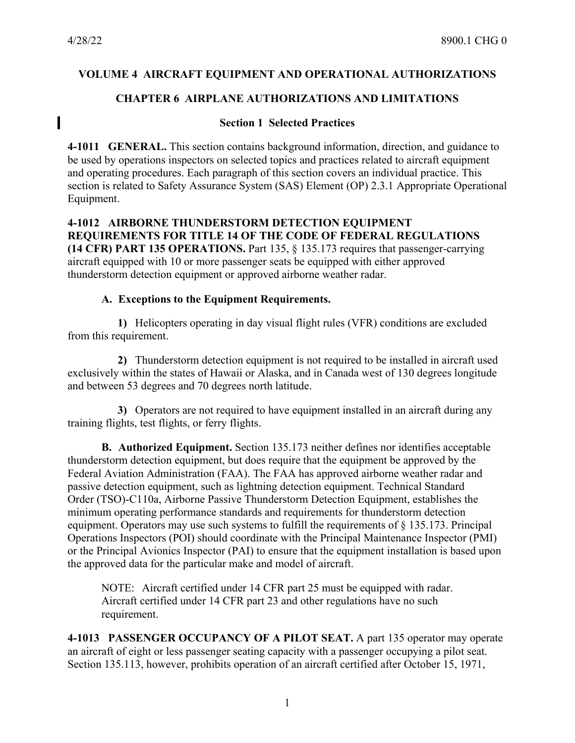I

## **VOLUME 4 AIRCRAFT EQUIPMENT AND OPERATIONAL AUTHORIZATIONS**

## **CHAPTER 6 AIRPLANE AUTHORIZATIONS AND LIMITATIONS**

#### **Section 1 Selected Practices**

**4-1011 GENERAL.** This section contains background information, direction, and guidance to be used by operations inspectors on selected topics and practices related to aircraft equipment and operating procedures. Each paragraph of this section covers an individual practice. This section is related to Safety Assurance System (SAS) Element (OP) 2.3.1 Appropriate Operational Equipment.

#### **4-1012 AIRBORNE THUNDERSTORM DETECTION EQUIPMENT REQUIREMENTS FOR TITLE 14 OF THE CODE OF FEDERAL REGULATIONS (14 CFR) PART 135 OPERATIONS.** Part 135, § 135.173 requires that passenger-carrying aircraft equipped with 10 or more passenger seats be equipped with either approved

thunderstorm detection equipment or approved airborne weather radar.

### **A. Exceptions to the Equipment Requirements.**

**1)** Helicopters operating in day visual flight rules (VFR) conditions are excluded from this requirement.

**2)** Thunderstorm detection equipment is not required to be installed in aircraft used exclusively within the states of Hawaii or Alaska, and in Canada west of 130 degrees longitude and between 53 degrees and 70 degrees north latitude.

**3)** Operators are not required to have equipment installed in an aircraft during any training flights, test flights, or ferry flights.

**B. Authorized Equipment.** Section 135.173 neither defines nor identifies acceptable thunderstorm detection equipment, but does require that the equipment be approved by the Federal Aviation Administration (FAA). The FAA has approved airborne weather radar and passive detection equipment, such as lightning detection equipment. Technical Standard Order (TSO)-C110a, Airborne Passive Thunderstorm Detection Equipment, establishes the minimum operating performance standards and requirements for thunderstorm detection equipment. Operators may use such systems to fulfill the requirements of § 135.173. Principal Operations Inspectors (POI) should coordinate with the Principal Maintenance Inspector (PMI) or the Principal Avionics Inspector (PAI) to ensure that the equipment installation is based upon the approved data for the particular make and model of aircraft.

NOTE: Aircraft certified under 14 CFR part 25 must be equipped with radar. Aircraft certified under 14 CFR part 23 and other regulations have no such requirement.

**4-1013 PASSENGER OCCUPANCY OF A PILOT SEAT.** A part 135 operator may operate an aircraft of eight or less passenger seating capacity with a passenger occupying a pilot seat. Section 135.113, however, prohibits operation of an aircraft certified after October 15, 1971,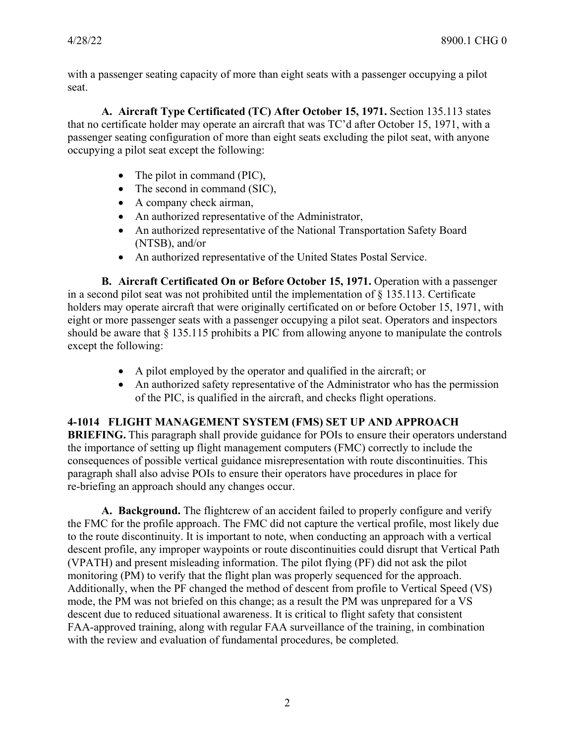with a passenger seating capacity of more than eight seats with a passenger occupying a pilot seat.

**A. Aircraft Type Certificated (TC) After October 15, 1971.** Section 135.113 states that no certificate holder may operate an aircraft that was TC'd after October 15, 1971, with a passenger seating configuration of more than eight seats excluding the pilot seat, with anyone occupying a pilot seat except the following:

- The pilot in command (PIC),
- The second in command (SIC),
- A company check airman,
- An authorized representative of the Administrator,
- An authorized representative of the National Transportation Safety Board (NTSB), and/or
- An authorized representative of the United States Postal Service.

**B. Aircraft Certificated On or Before October 15, 1971.** Operation with a passenger in a second pilot seat was not prohibited until the implementation of § 135.113. Certificate holders may operate aircraft that were originally certificated on or before October 15, 1971, with eight or more passenger seats with a passenger occupying a pilot seat. Operators and inspectors should be aware that § 135.115 prohibits a PIC from allowing anyone to manipulate the controls except the following:

- A pilot employed by the operator and qualified in the aircraft; or
- An authorized safety representative of the Administrator who has the permission of the PIC, is qualified in the aircraft, and checks flight operations.

# **4-1014 FLIGHT MANAGEMENT SYSTEM (FMS) SET UP AND APPROACH**

**BRIEFING.** This paragraph shall provide guidance for POIs to ensure their operators understand the importance of setting up flight management computers (FMC) correctly to include the consequences of possible vertical guidance misrepresentation with route discontinuities. This paragraph shall also advise POIs to ensure their operators have procedures in place for re-briefing an approach should any changes occur.

**A. Background.** The flightcrew of an accident failed to properly configure and verify the FMC for the profile approach. The FMC did not capture the vertical profile, most likely due to the route discontinuity. It is important to note, when conducting an approach with a vertical descent profile, any improper waypoints or route discontinuities could disrupt that Vertical Path (VPATH) and present misleading information. The pilot flying (PF) did not ask the pilot monitoring (PM) to verify that the flight plan was properly sequenced for the approach. Additionally, when the PF changed the method of descent from profile to Vertical Speed (VS) mode, the PM was not briefed on this change; as a result the PM was unprepared for a VS descent due to reduced situational awareness. It is critical to flight safety that consistent FAA-approved training, along with regular FAA surveillance of the training, in combination with the review and evaluation of fundamental procedures, be completed.